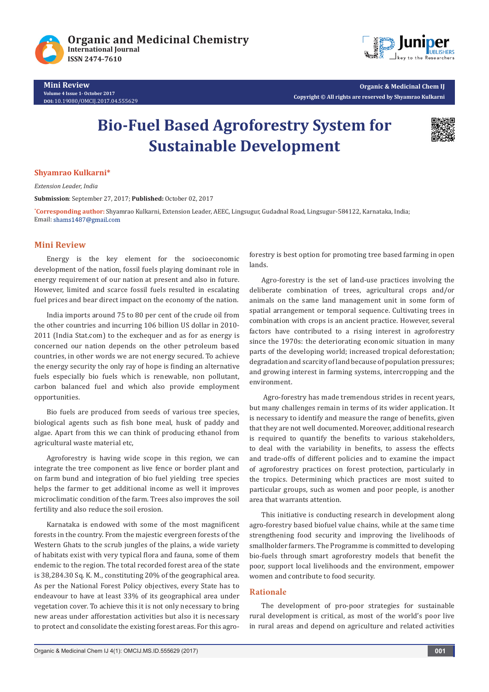



**Mini Review Volume 4 Issue 1- October 2017 DOI:** [10.19080/OMCIJ.2017.04.555629](http://dx.doi.org/10.19080/omcij.2017.04.555629)

# **Bio-Fuel Based Agroforestry System for Sustainable Development**



#### **Shyamrao Kulkarni\***

*Extension Leader, India*

**Submission**: September 27, 2017; **Published:** October 02, 2017

**\* Corresponding author:** Shyamrao Kulkarni, Extension Leader, AEEC, Lingsugur, Gudadnal Road, Lingsugur-584122, Karnataka, India; Email: shams1487@gmail.com

#### **Mini Review**

Energy is the key element for the socioeconomic development of the nation, fossil fuels playing dominant role in energy requirement of our nation at present and also in future. However, limited and scarce fossil fuels resulted in escalating fuel prices and bear direct impact on the economy of the nation.

India imports around 75 to 80 per cent of the crude oil from the other countries and incurring 106 billion US dollar in 2010- 2011 (India Stat.com) to the exchequer and as for as energy is concerned our nation depends on the other petroleum based countries, in other words we are not energy secured. To achieve the energy security the only ray of hope is finding an alternative fuels especially bio fuels which is renewable, non pollutant, carbon balanced fuel and which also provide employment opportunities.

Bio fuels are produced from seeds of various tree species, biological agents such as fish bone meal, husk of paddy and algae. Apart from this we can think of producing ethanol from agricultural waste material etc,

Agroforestry is having wide scope in this region, we can integrate the tree component as live fence or border plant and on farm bund and integration of bio fuel yielding tree species helps the farmer to get additional income as well it improves microclimatic condition of the farm. Trees also improves the soil fertility and also reduce the soil erosion.

Karnataka is endowed with some of the most magnificent forests in the country. From the majestic evergreen forests of the Western Ghats to the scrub jungles of the plains, a wide variety of habitats exist with very typical flora and fauna, some of them endemic to the region. The total recorded forest area of the state is 38,284.30 Sq. K. M., constituting 20% of the geographical area. As per the National Forest Policy objectives, every State has to endeavour to have at least 33% of its geographical area under vegetation cover. To achieve this it is not only necessary to bring new areas under afforestation activities but also it is necessary to protect and consolidate the existing forest areas. For this agroforestry is best option for promoting tree based farming in open lands.

Agro-forestry is the set of land-use practices involving the deliberate combination of trees, agricultural crops and/or animals on the same land management unit in some form of spatial arrangement or temporal sequence. Cultivating trees in combination with crops is an ancient practice. However, several factors have contributed to a rising interest in agroforestry since the 1970s: the deteriorating economic situation in many parts of the developing world; increased tropical deforestation; degradation and scarcity of land because of population pressures; and growing interest in farming systems, intercropping and the environment.

 Agro-forestry has made tremendous strides in recent years, but many challenges remain in terms of its wider application. It is necessary to identify and measure the range of benefits, given that they are not well documented. Moreover, additional research is required to quantify the benefits to various stakeholders, to deal with the variability in benefits, to assess the effects and trade-offs of different policies and to examine the impact of agroforestry practices on forest protection, particularly in the tropics. Determining which practices are most suited to particular groups, such as women and poor people, is another area that warrants attention.

This initiative is conducting research in development along agro-forestry based biofuel value chains, while at the same time strengthening food security and improving the livelihoods of smallholder farmers. The Programme is committed to developing bio-fuels through smart agroforestry models that benefit the poor, support local livelihoods and the environment, empower women and contribute to food security.

#### **Rationale**

The development of pro-poor strategies for sustainable rural development is critical, as most of the world's poor live in rural areas and depend on agriculture and related activities